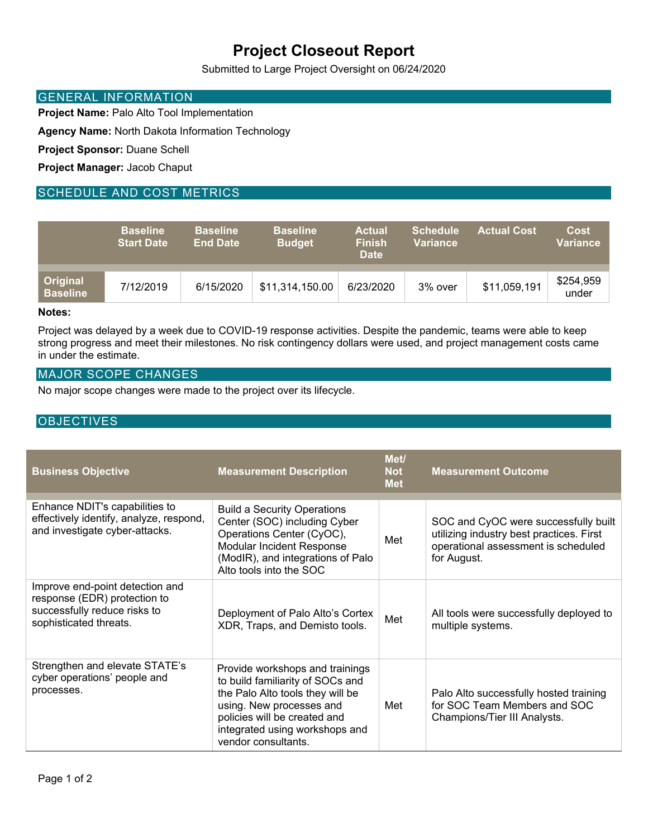# **Project Closeout Report**

Submitted to Large Project Oversight on 06/24/2020

### GENERAL INFORMATION

**Project Name:** Palo Alto Tool Implementation

**Agency Name:** North Dakota Information Technology

**Project Sponsor:** Duane Schell

**Project Manager:** Jacob Chaput

## SCHEDULE AND COST METRICS

|                             | <b>Baseline</b><br><b>Start Date</b> | <b>Baseline</b><br><b>End Date</b> | <b>Baseline</b><br><b>Budget</b> | <b>Actual</b><br><b>Finish</b><br><b>Date</b> | <b>Schedule</b><br><b>Variance</b> | <b>Actual Cost.</b> | <b>Cost</b><br>Variance |
|-----------------------------|--------------------------------------|------------------------------------|----------------------------------|-----------------------------------------------|------------------------------------|---------------------|-------------------------|
| Original<br><b>Baseline</b> | 7/12/2019                            | 6/15/2020                          | \$11,314,150.00                  | 6/23/2020                                     | 3% over                            | \$11,059,191        | \$254,959<br>under      |

#### **Notes:**

Project was delayed by a week due to COVID-19 response activities. Despite the pandemic, teams were able to keep strong progress and meet their milestones. No risk contingency dollars were used, and project management costs came in under the estimate.

#### MAJOR SCOPE CHANGES

No major scope changes were made to the project over its lifecycle.

## **OBJECTIVES**

| <b>Business Objective</b>                                                                                                 | <b>Measurement Description</b>                                                                                                                                                                                               | Met/<br><b>Not</b><br><b>Met</b> | <b>Measurement Outcome</b>                                                                                                             |
|---------------------------------------------------------------------------------------------------------------------------|------------------------------------------------------------------------------------------------------------------------------------------------------------------------------------------------------------------------------|----------------------------------|----------------------------------------------------------------------------------------------------------------------------------------|
| Enhance NDIT's capabilities to<br>effectively identify, analyze, respond,<br>and investigate cyber-attacks.               | <b>Build a Security Operations</b><br>Center (SOC) including Cyber<br>Operations Center (CyOC),<br>Modular Incident Response<br>(ModIR), and integrations of Palo<br>Alto tools into the SOC                                 | Met                              | SOC and CyOC were successfully built<br>utilizing industry best practices. First<br>operational assessment is scheduled<br>for August. |
| Improve end-point detection and<br>response (EDR) protection to<br>successfully reduce risks to<br>sophisticated threats. | Deployment of Palo Alto's Cortex<br>XDR, Traps, and Demisto tools.                                                                                                                                                           | Met                              | All tools were successfully deployed to<br>multiple systems.                                                                           |
| Strengthen and elevate STATE's<br>cyber operations' people and<br>processes.                                              | Provide workshops and trainings<br>to build familiarity of SOCs and<br>the Palo Alto tools they will be<br>using. New processes and<br>policies will be created and<br>integrated using workshops and<br>vendor consultants. | Met                              | Palo Alto successfully hosted training<br>for SOC Team Members and SOC<br>Champions/Tier III Analysts.                                 |